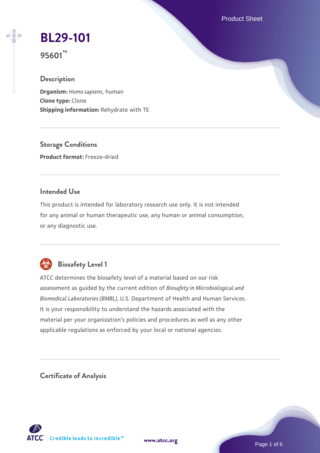Product Sheet

# **[BL29-101](https://www.atcc.org/products/95601)**

**95601™**

# **Description**

**Organism:** *Homo sapiens*, human **Clone type:** Clone **Shipping information:** Rehydrate with TE

**Storage Conditions Product format:** Freeze-dried

# **Intended Use**

This product is intended for laboratory research use only. It is not intended for any animal or human therapeutic use, any human or animal consumption, or any diagnostic use.



# **Biosafety Level 1**

ATCC determines the biosafety level of a material based on our risk assessment as guided by the current edition of *Biosafety in Microbiological and Biomedical Laboratories (BMBL)*, U.S. Department of Health and Human Services. It is your responsibility to understand the hazards associated with the material per your organization's policies and procedures as well as any other applicable regulations as enforced by your local or national agencies.

**Certificate of Analysis**

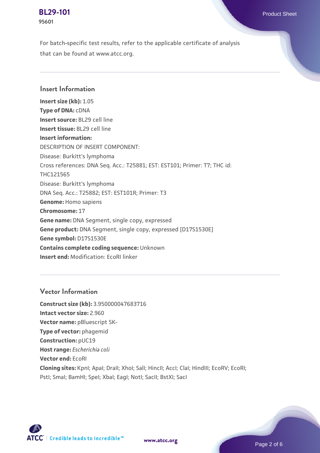**[BL29-101](https://www.atcc.org/products/95601)** Product Sheet **95601**

For batch-specific test results, refer to the applicable certificate of analysis that can be found at www.atcc.org.

#### **Insert Information**

**Insert size (kb):** 1.05 **Type of DNA:** cDNA **Insert source:** BL29 cell line **Insert tissue:** BL29 cell line **Insert information:** DESCRIPTION OF INSERT COMPONENT: Disease: Burkitt's lymphoma Cross references: DNA Seq. Acc.: T25881; EST: EST101; Primer: T7; THC id: THC121565 Disease: Burkitt's lymphoma DNA Seq. Acc.: T25882; EST: EST101R; Primer: T3 **Genome:** Homo sapiens **Chromosome:** 17 **Gene name:** DNA Segment, single copy, expressed **Gene product:** DNA Segment, single copy, expressed [D17S1530E] **Gene symbol:** D17S1530E **Contains complete coding sequence:** Unknown **Insert end:** Modification: EcoRI linker

### **Vector Information**

**Construct size (kb):** 3.950000047683716 **Intact vector size:** 2.960 **Vector name: pBluescript SK-Type of vector:** phagemid **Construction:** pUC19 **Host range:** *Escherichia coli* **Vector end:** EcoRI **Cloning sites:** KpnI; ApaI; DraII; XhoI; SalI; HincII; AccI; ClaI; HindIII; EcoRV; EcoRI; Pstl; Smal; BamHI; Spel; Xbal; EagI; NotI; SacII; BstXI; SacI



**[www.atcc.org](http://www.atcc.org)**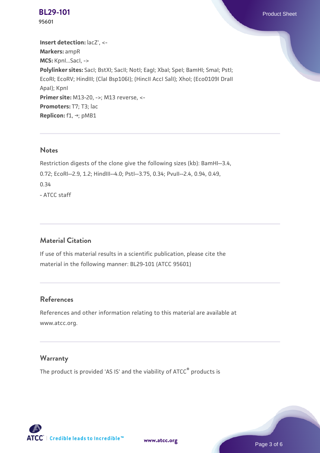**[BL29-101](https://www.atcc.org/products/95601)** Product Sheet **95601**

**Insert detection:** lacZ', <- **Markers:** ampR **MCS:** KpnI...SacI, -> **Polylinker sites:** SacI; BstXI; SacII; NotI; EagI; XbaI; SpeI; BamHI; SmaI; PstI; EcoRI; EcoRV; HindIII; (ClaI Bsp106I); (HincII AccI SalI); XhoI; (Eco0109I DraII ApaI); KpnI **Primer site: M13-20, ->: M13 reverse, <-**Promoters: T7; T3; lac **Replicon:** f1, →; pMB1

#### **Notes**

Restriction digests of the clone give the following sizes (kb): BamHI--3.4, 0.72; EcoRI--2.9, 1.2; HindIII--4.0; PstI--3.75, 0.34; PvuII--2.4, 0.94, 0.49, 0.34 - ATCC staff

# **Material Citation**

If use of this material results in a scientific publication, please cite the material in the following manner: BL29-101 (ATCC 95601)

## **References**

References and other information relating to this material are available at www.atcc.org.

#### **Warranty**

The product is provided 'AS IS' and the viability of ATCC® products is



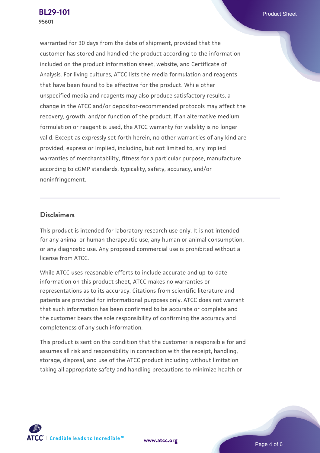**[BL29-101](https://www.atcc.org/products/95601)** Product Sheet **95601**

warranted for 30 days from the date of shipment, provided that the customer has stored and handled the product according to the information included on the product information sheet, website, and Certificate of Analysis. For living cultures, ATCC lists the media formulation and reagents that have been found to be effective for the product. While other unspecified media and reagents may also produce satisfactory results, a change in the ATCC and/or depositor-recommended protocols may affect the recovery, growth, and/or function of the product. If an alternative medium formulation or reagent is used, the ATCC warranty for viability is no longer valid. Except as expressly set forth herein, no other warranties of any kind are provided, express or implied, including, but not limited to, any implied warranties of merchantability, fitness for a particular purpose, manufacture according to cGMP standards, typicality, safety, accuracy, and/or noninfringement.

#### **Disclaimers**

This product is intended for laboratory research use only. It is not intended for any animal or human therapeutic use, any human or animal consumption, or any diagnostic use. Any proposed commercial use is prohibited without a license from ATCC.

While ATCC uses reasonable efforts to include accurate and up-to-date information on this product sheet, ATCC makes no warranties or representations as to its accuracy. Citations from scientific literature and patents are provided for informational purposes only. ATCC does not warrant that such information has been confirmed to be accurate or complete and the customer bears the sole responsibility of confirming the accuracy and completeness of any such information.

This product is sent on the condition that the customer is responsible for and assumes all risk and responsibility in connection with the receipt, handling, storage, disposal, and use of the ATCC product including without limitation taking all appropriate safety and handling precautions to minimize health or



**[www.atcc.org](http://www.atcc.org)**

Page 4 of 6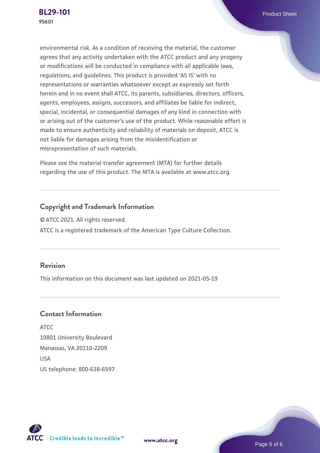environmental risk. As a condition of receiving the material, the customer agrees that any activity undertaken with the ATCC product and any progeny or modifications will be conducted in compliance with all applicable laws, regulations, and guidelines. This product is provided 'AS IS' with no representations or warranties whatsoever except as expressly set forth herein and in no event shall ATCC, its parents, subsidiaries, directors, officers, agents, employees, assigns, successors, and affiliates be liable for indirect, special, incidental, or consequential damages of any kind in connection with or arising out of the customer's use of the product. While reasonable effort is made to ensure authenticity and reliability of materials on deposit, ATCC is not liable for damages arising from the misidentification or misrepresentation of such materials.

Please see the material transfer agreement (MTA) for further details regarding the use of this product. The MTA is available at www.atcc.org.

# **Copyright and Trademark Information**

© ATCC 2021. All rights reserved. ATCC is a registered trademark of the American Type Culture Collection.

# **Revision**

This information on this document was last updated on 2021-05-19

### **Contact Information**

ATCC 10801 University Boulevard Manassas, VA 20110-2209 **IISA** US telephone: 800-638-6597